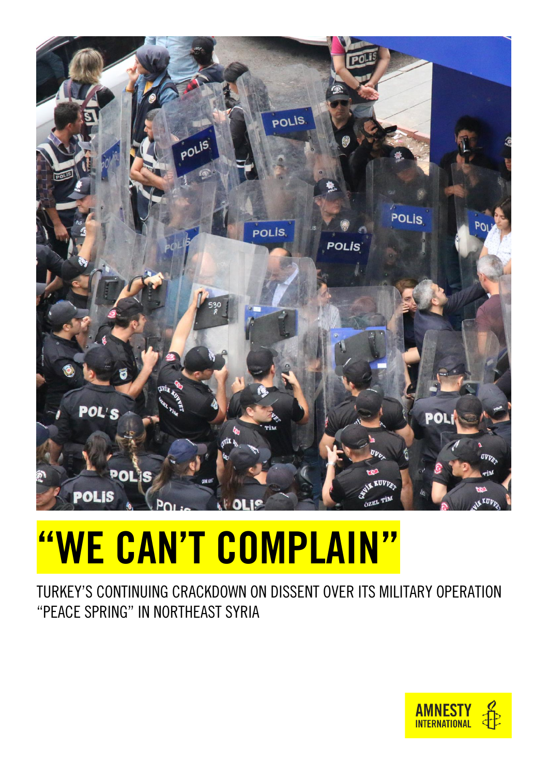

# "WE CAN'T COMPLAIN"

TURKEY'S CONTINUING CRACKDOWN ON DISSENT OVER ITS MILITARY OPERATION "PEACE SPRING" IN NORTHEAST SYRIA

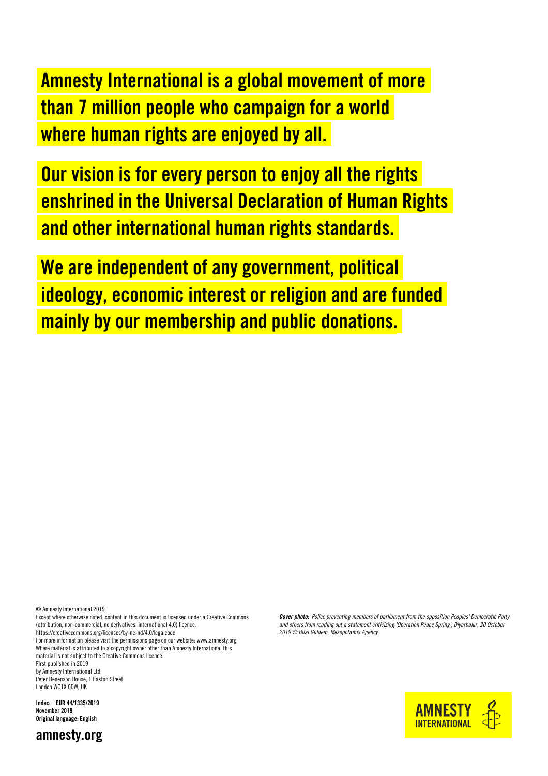Amnesty International is a global movement of more than 7 million people who campaign for a world where human rights are enjoyed by all.

Our vision is for every person to enjoy all the rights enshrined in the Universal Declaration of Human Rights and other international human rights standards.

We are independent of any government, political ideology, economic interest or religion and are funded mainly by our membership and public donations.

© Amnesty International 2019

Except where otherwise noted, content in this document is licensed under a Creative Commons (attribution, non-commercial, no derivatives, international 4.0) licence. <https://creativecommons.org/licenses/by-nc-nd/4.0/legalcode>

For more information please visit the permissions page on our website[: www.amnesty.org](http://www.amnesty.org/) Where material is attributed to a copyright owner other than Amnesty International this material is not subject to the Creative Commons licence.

First published in 2019 by Amnesty International Ltd Peter Benenson House, 1 Easton Street London WC1X 0DW, UK

Index: EUR 44/1335/2019 November 2019 Original language: English



*Cover photo: Police preventing members of parliament from the opposition Peoples' Democratic Party and others from reading out a statement criticizing 'Operation Peace Spring', Diyarbakır, 20 October 2019 © Bilal Güldem, Mesopotamia Agency.*

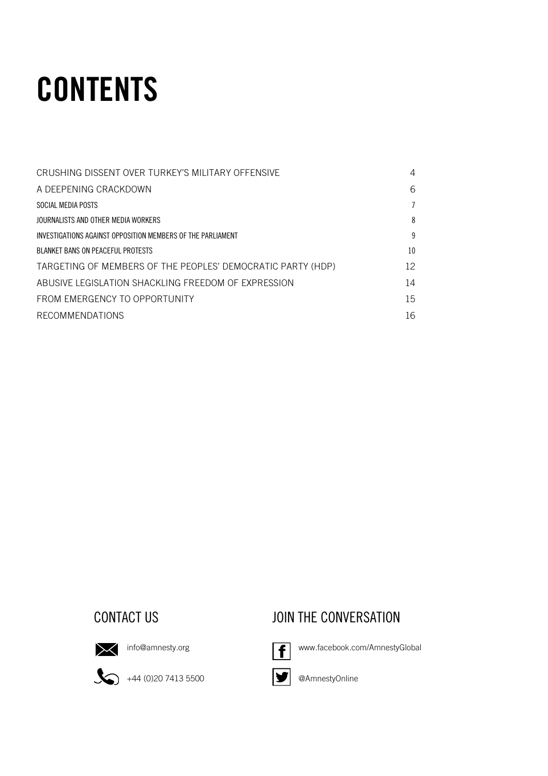## **CONTENTS**

| CRUSHING DISSENT OVER TURKEY'S MILITARY OFFENSIVE           | 4  |
|-------------------------------------------------------------|----|
| A DEEPENING CRACKDOWN                                       | 6  |
| SOCIAL MEDIA POSTS                                          |    |
| JOURNALISTS AND OTHER MEDIA WORKERS                         | 8  |
| INVESTIGATIONS AGAINST OPPOSITION MEMBERS OF THE PARLIAMENT | 9  |
| <b>BLANKET BANS ON PEACEFUL PROTESTS</b>                    | 10 |
| TARGETING OF MEMBERS OF THE PEOPLES' DEMOCRATIC PARTY (HDP) | 12 |
| ABUSIVE LEGISLATION SHACKLING ERFEDOM OF EXPRESSION         | 14 |
| FROM EMERGENCY TO OPPORTUNITY                               | 15 |
| <b>RECOMMENDATIONS</b>                                      | 16 |

#### CONTACT US **CONTACT US** JOIN THE CONVERSATION



 $\sum$  [info@amnesty.org](mailto:info@amnesty.org)

 $\bigotimes$  +44 (0)20 7413 5500



[www.facebook.com/AmnestyGlobal](http://www.facebook.com/AmnestyGlobal)





@AmnestyOnline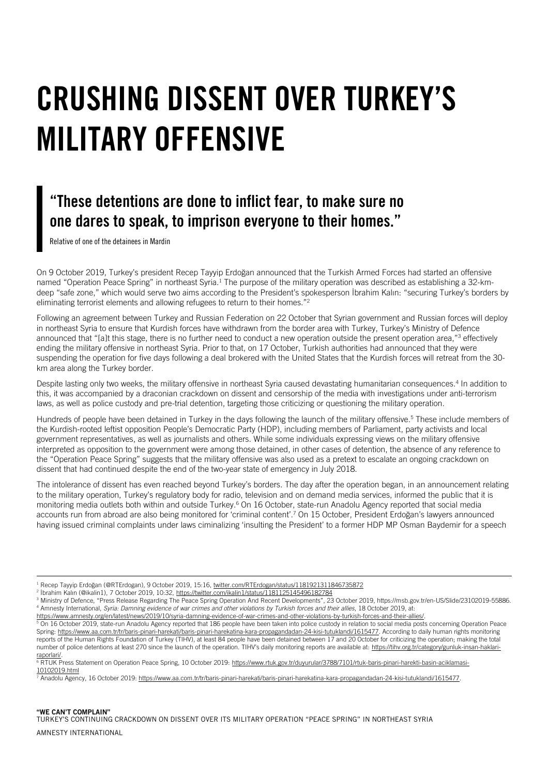### <span id="page-3-0"></span>CRUSHING DISSENT OVER TURKEY'S MILITARY OFFENSIVE

### "These detentions are done to inflict fear, to make sure no one dares to speak, to imprison everyone to their homes."

Relative of one of the detainees in Mardin

i.

On 9 October 2019, Turkey's president Recep Tayyip Erdoğan announced that the Turkish Armed Forces had started an offensive named "Operation Peace Spring" in northeast Syria.<sup>1</sup> The purpose of the military operation was described as establishing a 32-kmdeep "safe zone," which would serve two aims according to the President's spokesperson İbrahim Kalın: "securing Turkey's borders by eliminating terrorist elements and allowing refugees to return to their homes." 2

Following an agreement between Turkey and Russian Federation on 22 October that Syrian government and Russian forces will deploy in northeast Syria to ensure that Kurdish forces have withdrawn from the border area with Turkey, Turkey's Ministry of Defence announced that "[a]t this stage, there is no further need to conduct a new operation outside the present operation area,"<sup>3</sup> effectively ending the military offensive in northeast Syria. Prior to that, on 17 October, Turkish authorities had announced that they were suspending the operation for five days following a deal brokered with the United States that the Kurdish forces will retreat from the 30 km area along the Turkey border.

Despite lasting only two weeks, the military offensive in northeast Syria caused devastating humanitarian consequences.<sup>4</sup> In addition to this, it was accompanied by a draconian crackdown on dissent and censorship of the media with investigations under anti-terrorism laws, as well as police custody and pre-trial detention, targeting those criticizing or questioning the military operation.

Hundreds of people have been detained in Turkey in the days following the launch of the military offensive. <sup>5</sup> These include members of the Kurdish-rooted leftist opposition People's Democratic Party (HDP), including members of Parliament, party activists and local government representatives, as well as journalists and others. While some individuals expressing views on the military offensive interpreted as opposition to the government were among those detained, in other cases of detention, the absence of any reference to the "Operation Peace Spring" suggests that the military offensive was also used as a pretext to escalate an ongoing crackdown on dissent that had continued despite the end of the two-year state of emergency in July 2018.

The intolerance of dissent has even reached beyond Turkey's borders. The day after the operation began, in an announcement relating to the military operation, Turkey's regulatory body for radio, television and on demand media services, informed the public that it is monitoring media outlets both within and outside Turkey.<sup>6</sup> On 16 October, state-run Anadolu Agency reported that social media accounts run from abroad are also being monitored for 'criminal content'. <sup>7</sup> On 15 October, President Erdoğan's lawyers announced having issued criminal complaints under laws ciminalizing 'insulting the President' to a former HDP MP Osman Baydemir for a speech

<sup>&</sup>lt;sup>1</sup> Recep Tayyip Erdoğan (@RTErdogan), 9 October 2019, 15:16, twitter.com/RTErdogan/status/1181921311846735872

<sup>2</sup> İbrahim Kalın (@ikalin1), 7 October 2019, 10:32, <https://twitter.com/ikalin1/status/1181125145496182784>

<sup>&</sup>lt;sup>3</sup> Ministry of Defence, "Press Release Regarding The Peace Spring Operation And Recent Developments", 23 October 2019, https://msb.gov.tr/en-US/Slide/23102019-55886. <sup>4</sup> Amnesty International, *Syria: Damning evidence of war crimes and other violations by Turkish forces and their allies*, 18 October 2019, at:

[https://www.amnesty.org/en/latest/news/2019/10/syria-damning-evidence-of-war-crimes-and-other-violations-by-turkish-forces-and-their-allies/.](https://www.amnesty.org/en/latest/news/2019/10/syria-damning-evidence-of-war-crimes-and-other-violations-by-turkish-forces-and-their-allies/)

<sup>5</sup> On 16 October 2019, state-run Anadolu Agency reported that 186 people have been taken into police custody in relation to social media posts concerning Operation Peace Spring[: https://www.aa.com.tr/tr/baris-pinari-harekati/baris-pinari-harekatina-kara-propagandadan-24-kisi-tutuklandi/1615477.](https://www.aa.com.tr/tr/baris-pinari-harekati/baris-pinari-harekatina-kara-propagandadan-24-kisi-tutuklandi/1615477) According to daily human rights monitoring reports of the Human Rights Foundation of Turkey (TIHV), at least 84 people have been detained between 17 and 20 October for criticizing the operation; making the total number of police detentions at least 270 since the launch of the operation. TIHV's daily monitoring reports are available at: [https://tihv.org.tr/category/gunluk-insan-haklari](https://tihv.org.tr/category/gunluk-insan-haklari-raporlari/)[raporlari/.](https://tihv.org.tr/category/gunluk-insan-haklari-raporlari/)

<sup>&</sup>lt;sup>6</sup> RTUK Press Statement on Operation Peace Spring, 10 October 2019[: https://www.rtuk.gov.tr/duyurular/3788/7101/rtuk-baris-pinari-harekti-basin-aciklamasi-](https://www.rtuk.gov.tr/duyurular/3788/7101/rtuk-baris-pinari-harekti-basin-aciklamasi-10102019.html)[10102019.html](https://www.rtuk.gov.tr/duyurular/3788/7101/rtuk-baris-pinari-harekti-basin-aciklamasi-10102019.html)

<sup>7</sup> Anadolu Agency, 16 October 2019[: https://www.aa.com.tr/tr/baris-pinari-harekati/baris-pinari-harekatina-kara-propagandadan-24-kisi-tutuklandi/1615477.](https://www.aa.com.tr/tr/baris-pinari-harekati/baris-pinari-harekatina-kara-propagandadan-24-kisi-tutuklandi/1615477)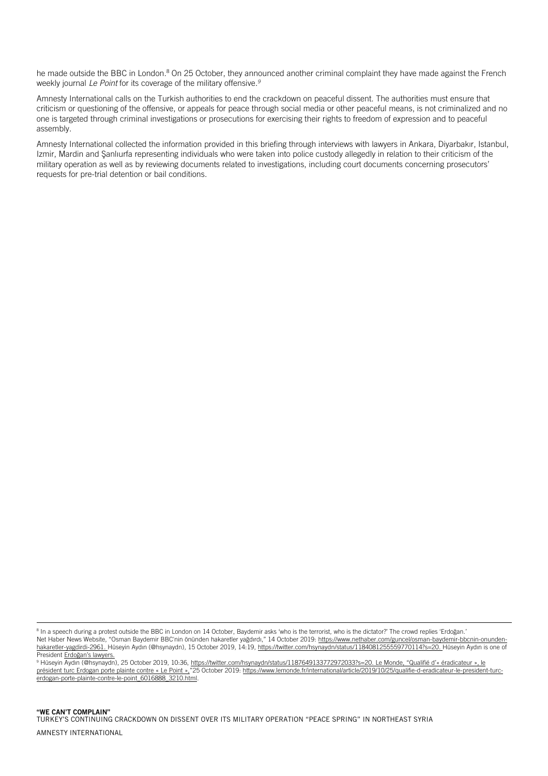he made outside the BBC in London.<sup>8</sup> On 25 October, they announced another criminal complaint they have made against the French weekly journal *Le Point* for its coverage of the military offensive. *9*

Amnesty International calls on the Turkish authorities to end the crackdown on peaceful dissent. The authorities must ensure that criticism or questioning of the offensive, or appeals for peace through social media or other peaceful means, is not criminalized and no one is targeted through criminal investigations or prosecutions for exercising their rights to freedom of expression and to peaceful assembly.

Amnesty International collected the information provided in this briefing through interviews with lawyers in Ankara, Diyarbakır, Istanbul, Izmir, Mardin and Şanlıurfa representing individuals who were taken into police custody allegedly in relation to their criticism of the military operation as well as by reviewing documents related to investigations, including court documents concerning prosecutors' requests for pre-trial detention or bail conditions.

<sup>9</sup> Hüseyin Aydın (@hsynaydn), 25 October 2019, 10:36, [https://twitter.com/hsynaydn/status/1187649133772972033?s=20.](https://twitter.com/hsynaydn/status/1187649133772972033?s=20) Le Monde, "Qualifié d'« éradicateur », le président turc Erdogan porte plainte contre « Le Point »,"25 October 2019: [https://www.lemonde.fr/international/article/2019/10/25/qualifie-d-eradicateur-le-president-turc](https://www.lemonde.fr/international/article/2019/10/25/qualifie-d-eradicateur-le-president-turc-erdogan-porte-plainte-contre-le-point_6016888_3210.html)[erdogan-porte-plainte-contre-le-point\\_6016888\\_3210.html.](https://www.lemonde.fr/international/article/2019/10/25/qualifie-d-eradicateur-le-president-turc-erdogan-porte-plainte-contre-le-point_6016888_3210.html)

<sup>&</sup>lt;sup>8</sup> In a speech during a protest outside the BBC in London on 14 October, Baydemir asks 'who is the terrorist, who is the dictator?' The crowd replies 'Erdoğan.' Net Haber News Website, "Osman Baydemir BBC'nin önünden hakaretler yağdırdı," 14 October 2019: [https://www.nethaber.com/guncel/osman-baydemir-bbcnin-onunden](https://www.nethaber.com/guncel/osman-baydemir-bbcnin-onunden-hakaretler-yagdirdi-2961)[hakaretler-yagdirdi-2961.](https://www.nethaber.com/guncel/osman-baydemir-bbcnin-onunden-hakaretler-yagdirdi-2961) Hüseyin Aydın (@hsynaydn), 15 October 2019, 14:19, [https://twitter.com/hsynaydn/status/1184081255559770114?s=20.](https://twitter.com/hsynaydn/status/1184081255559770114?s=20) Hüseyin Aydın is one of President Erdoğan's lawyers.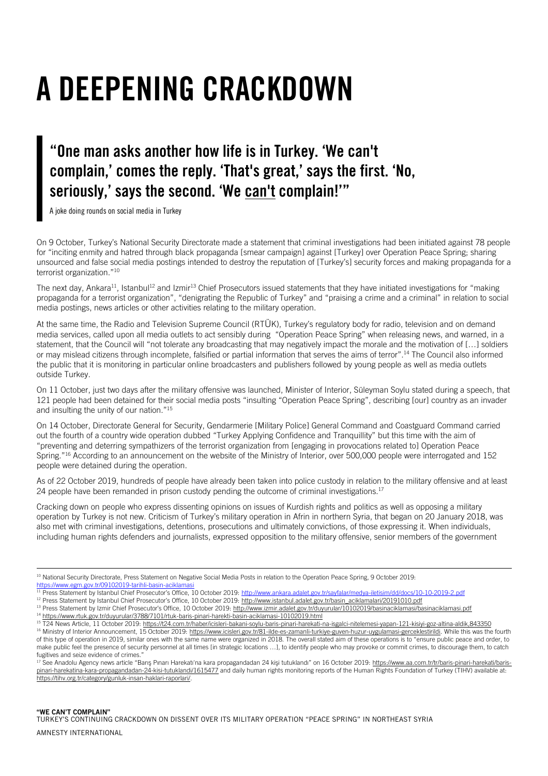## <span id="page-5-0"></span>A DEEPENING CRACKDOWN

### "One man asks another how life is in Turkey. 'We can't complain,' comes the reply. 'That's great,' says the first. 'No, seriously,' says the second. 'We can't complain!'"

A joke doing rounds on social media in Turkey

On 9 October, Turkey's National Security Directorate made a statement that criminal investigations had been initiated against 78 people for "inciting enmity and hatred through black propaganda [smear campaign] against [Turkey] over Operation Peace Spring; sharing unsourced and false social media postings intended to destroy the reputation of [Turkey's] security forces and making propaganda for a terrorist organization."<sup>10</sup>

The next day, Ankara<sup>11</sup>, Istanbul<sup>12</sup> and Izmir<sup>13</sup> Chief Prosecutors issued statements that they have initiated investigations for "making propaganda for a terrorist organization", "denigrating the Republic of Turkey" and "praising a crime and a criminal" in relation to social media postings, news articles or other activities relating to the military operation.

At the same time, the Radio and Television Supreme Council (RTÜK), Turkey's regulatory body for radio, television and on demand media services, called upon all media outlets to act sensibly during "Operation Peace Spring" when releasing news, and warned, in a statement, that the Council will "not tolerate any broadcasting that may negatively impact the morale and the motivation of […] soldiers or may mislead citizens through incomplete, falsified or partial information that serves the aims of terror".<sup>14</sup> The Council also informed the public that it is monitoring in particular online broadcasters and publishers followed by young people as well as media outlets outside Turkey.

On 11 October, just two days after the military offensive was launched, Minister of Interior, Süleyman Soylu stated during a speech, that 121 people had been detained for their social media posts "insulting "Operation Peace Spring", describing [our] country as an invader and insulting the unity of our nation."<sup>15</sup>

On 14 October, Directorate General for Security, Gendarmerie [Military Police] General Command and Coastguard Command carried out the fourth of a country wide operation dubbed "Turkey Applying Confidence and Tranquillity" but this time with the aim of "preventing and deterring sympathizers of the terrorist organization from [engaging in provocations related to] Operation Peace Spring."<sup>16</sup> According to an announcement on the website of the Ministry of Interior, over 500,000 people were interrogated and 152 people were detained during the operation.

As of 22 October 2019, hundreds of people have already been taken into police custody in relation to the military offensive and at least 24 people have been remanded in prison custody pending the outcome of criminal investigations.<sup>17</sup>

Cracking down on people who express dissenting opinions on issues of Kurdish rights and politics as well as opposing a military operation by Turkey is not new. Criticism of Turkey's military operation in Afrin in northern Syria, that began on 20 January 2018, was also met with criminal investigations, detentions, prosecutions and ultimately convictions, of those expressing it. When individuals, including human rights defenders and journalists, expressed opposition to the military offensive, senior members of the government

<sup>10</sup> National Security Directorate, Press Statement on Negative Social Media Posts in relation to the Operation Peace Spring, 9 October 2019: https://www.egm.gov.tr/09102019-tarihli-basin-aciklama

<sup>12</sup> Press Statement by Istanbul Chief Prosecutor's Office, 10 October 2019: [http://www.istanbul.adalet.gov.tr/basin\\_aciklamalari/20191010.pdf](http://www.istanbul.adalet.gov.tr/basin_aciklamalari/20191010.pdf)

- <sup>13</sup> Press Statement by Izmir Chief Prosecutor's Office, 10 October 2019: <http://www.izmir.adalet.gov.tr/duyurular/10102019/basinaciklamasi/basinaciklamasi.pdf> <sup>14</sup> <https://www.rtuk.gov.tr/duyurular/3788/7101/rtuk-baris-pinari-harekti-basin-aciklamasi-10102019.html>
- <sup>15</sup> T24 News Article, 11 October 2019[: https://t24.com.tr/haber/icisleri-bakani-soylu-baris-pinari-harekati-na-isgalci-nitelemesi-yapan-121-kisiyi-goz-altina-aldik,843350](https://t24.com.tr/haber/icisleri-bakani-soylu-baris-pinari-harekati-na-isgalci-nitelemesi-yapan-121-kisiyi-goz-altina-aldik,843350)

<sup>11</sup> Press Statement by Istanbul Chief Prosecutor's Office, 10 October 2019: <http://www.ankara.adalet.gov.tr/sayfalar/medya-iletisim/dd/docs/10-10-2019-2.pdf>

<sup>&</sup>lt;sup>16</sup> Ministry of Interior Announcement, 15 October 2019[: https://www.icisleri.gov.tr/81-ilde-es-zamanli-turkiye-guven-huzur-uygulamasi-gerceklestirildi.](https://www.icisleri.gov.tr/81-ilde-es-zamanli-turkiye-guven-huzur-uygulamasi-gerceklestirildi) While this was the fourth of this type of operation in 2019, similar ones with the same name were organized in 2018. The overall stated aim of these operations is to "ensure public peace and order, to make public feel the presence of security personnel at all times [in strategic locations …], to identify people who may provoke or commit crimes, to discourage them, to catch fugitives and seize evidence of crimes.

<sup>&</sup>lt;sup>17</sup> See Anadolu Agency news article "Barıs Pınarı Harekatı'na kara propagandadan 24 kisi tutuklandı" on 16 October 2019: [https://www.aa.com.tr/tr/baris-pinari-harekati/baris](https://www.aa.com.tr/tr/baris-pinari-harekati/baris-pinari-harekatina-kara-propagandadan-24-kisi-tutuklandi/1615477)[pinari-harekatina-kara-propagandadan-24-kisi-tutuklandi/1615477](https://www.aa.com.tr/tr/baris-pinari-harekati/baris-pinari-harekatina-kara-propagandadan-24-kisi-tutuklandi/1615477) and daily human rights monitoring reports of the Human Rights Foundation of Turkey (TIHV) available at: [https://tihv.org.tr/category/gunluk-insan-haklari-raporlari/.](https://tihv.org.tr/category/gunluk-insan-haklari-raporlari/)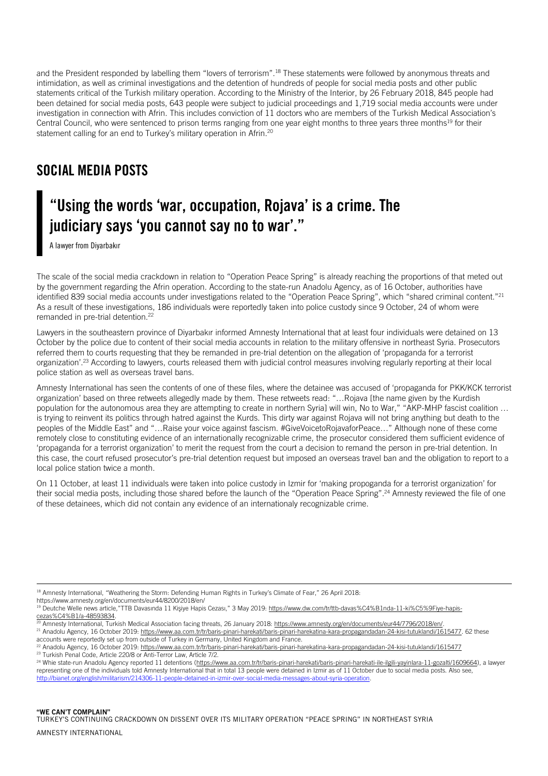and the President responded by labelling them "lovers of terrorism".<sup>18</sup> These statements were followed by anonymous threats and intimidation, as well as criminal investigations and the detention of hundreds of people for social media posts and other public statements critical of the Turkish military operation. According to the Ministry of the Interior, by 26 February 2018, 845 people had been detained for social media posts, 643 people were subject to judicial proceedings and 1,719 social media accounts were under investigation in connection with Afrin. This includes conviction of 11 doctors who are members of the Turkish Medical Association's Central Council, who were sentenced to prison terms ranging from one year eight months to three years three months<sup>19</sup> for their statement calling for an end to Turkey's military operation in Afrin.<sup>20</sup>

#### <span id="page-6-0"></span>SOCIAL MEDIA POSTS

#### "Using the words 'war, occupation, Rojava' is a crime. The judiciary says 'you cannot say no to war'."

A lawyer from Diyarbakır

The scale of the social media crackdown in relation to "Operation Peace Spring" is already reaching the proportions of that meted out by the government regarding the Afrin operation. According to the state-run Anadolu Agency, as of 16 October, authorities have identified 839 social media accounts under investigations related to the "Operation Peace Spring", which "shared criminal content."<sup>21</sup> As a result of these investigations, 186 individuals were reportedly taken into police custody since 9 October, 24 of whom were remanded in pre-trial detention.<sup>22</sup>

Lawyers in the southeastern province of Diyarbakır informed Amnesty International that at least four individuals were detained on 13 October by the police due to content of their social media accounts in relation to the military offensive in northeast Syria. Prosecutors referred them to courts requesting that they be remanded in pre-trial detention on the allegation of 'propaganda for a terrorist organization'.<sup>23</sup> According to lawyers, courts released them with judicial control measures involving regularly reporting at their local police station as well as overseas travel bans.

Amnesty International has seen the contents of one of these files, where the detainee was accused of 'propaganda for PKK/KCK terrorist organization' based on three retweets allegedly made by them. These retweets read: "…Rojava [the name given by the Kurdish population for the autonomous area they are attempting to create in northern Syria] will win, No to War," "AKP-MHP fascist coalition ... is trying to reinvent its politics through hatred against the Kurds. This dirty war against Rojava will not bring anything but death to the peoples of the Middle East" and "…Raise your voice against fascism. #GiveVoicetoRojavaforPeace…" Although none of these come remotely close to constituting evidence of an internationally recognizable crime, the prosecutor considered them sufficient evidence of 'propaganda for a terrorist organization' to merit the request from the court a decision to remand the person in pre-trial detention. In this case, the court refused prosecutor's pre-trial detention request but imposed an overseas travel ban and the obligation to report to a local police station twice a month.

On 11 October, at least 11 individuals were taken into police custody in Izmir for 'making propoganda for a terrorist organization' for their social media posts, including those shared before the launch of the "Operation Peace Spring". <sup>24</sup> Amnesty reviewed the file of one of these detainees, which did not contain any evidence of an internationaly recognizable crime.

<sup>18</sup> Amnesty International, "Weathering the Storm: Defending Human Rights in Turkey's Climate of Fear," 26 April 2018:

https://www.amnesty.org/en/documents/eur44/8200/2018/en/

<sup>&</sup>lt;sup>19</sup> Deutche Welle news article,"TTB Davasında 11 Kişiye Hapis Cezası," 3 May 2019[: https://www.dw.com/tr/ttb-davas%C4%B1nda-11-ki%C5%9Fiye-hapis](https://www.dw.com/tr/ttb-davas%C4%B1nda-11-ki%C5%9Fiye-hapis-cezas%C4%B1/a-48593834)[cezas%C4%B1/a-48593834.](https://www.dw.com/tr/ttb-davas%C4%B1nda-11-ki%C5%9Fiye-hapis-cezas%C4%B1/a-48593834) 

<sup>20</sup> Amnesty International, Turkish Medical Association facing threats, 26 January 2018[: https://www.amnesty.org/en/documents/eur44/7796/2018/en/.](https://www.amnesty.org/en/documents/eur44/7796/2018/en/) 

<sup>21</sup> Anadolu Agency, 16 October 2019[: https://www.aa.com.tr/tr/baris-pinari-harekati/baris-pinari-harekatina-kara-propagandadan-24-kisi-tutuklandi/1615477.](https://www.aa.com.tr/tr/baris-pinari-harekati/baris-pinari-harekatina-kara-propagandadan-24-kisi-tutuklandi/1615477) 62 these accounts were reportedly set up from outside of Turkey in Germany, United Kingdom and France.

<sup>22</sup> Anadolu Agency, 16 October 2019[: https://www.aa.com.tr/tr/baris-pinari-harekati/baris-pinari-harekatina-kara-propagandadan-24-kisi-tutuklandi/1615477](https://www.aa.com.tr/tr/baris-pinari-harekati/baris-pinari-harekatina-kara-propagandadan-24-kisi-tutuklandi/1615477) <sup>23</sup> Turkish Penal Code, Article 220/8 or Anti-Terror Law, Article 7/2.

<sup>&</sup>lt;sup>24</sup> Whie state-run Anadolu Agency reported 11 detentions [\(https://www.aa.com.tr/tr/baris-pinari-harekati/baris-pinari-harekati-ile-ilgili-yayinlara-11-gozalti/1609664\)](https://www.aa.com.tr/tr/baris-pinari-harekati/baris-pinari-harekati-ile-ilgili-yayinlara-11-gozalti/1609664), a lawyer representing one of the individuals told Amnesty International that in total 13 people were detained in Izmir as of 11 October due to social media posts. Also see, [http://bianet.org/english/militarism/214306-11-people-detained-in-izmir-over-social-media-messages-about-syria-operation.](http://bianet.org/english/militarism/214306-11-people-detained-in-izmir-over-social-media-messages-about-syria-operation)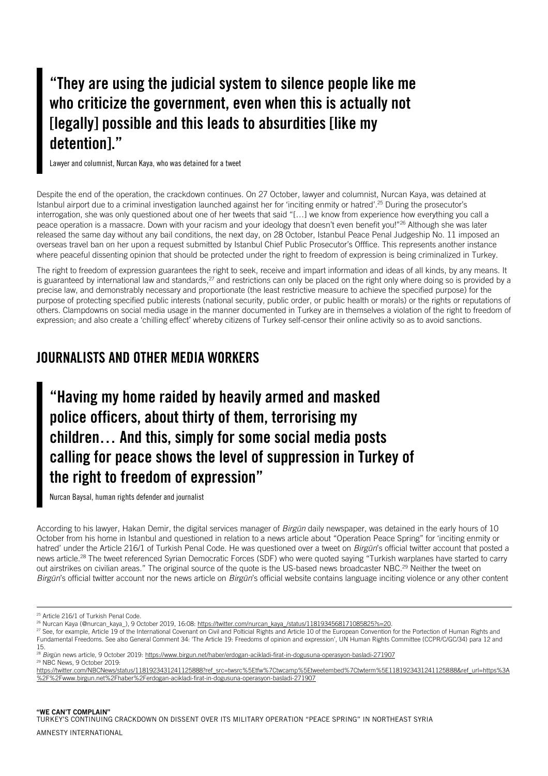#### "They are using the judicial system to silence people like me who criticize the government, even when this is actually not [legally] possible and this leads to absurdities [like my detention]."

Lawyer and columnist, Nurcan Kaya, who was detained for a tweet

Despite the end of the operation, the crackdown continues. On 27 October, lawyer and columnist, Nurcan Kaya, was detained at Istanbul airport due to a criminal investigation launched against her for 'inciting enmity or hatred'. <sup>25</sup> During the prosecutor's interrogation, she was only questioned about one of her tweets that said "[…] we know from experience how everything you call a peace operation is a massacre. Down with your racism and your ideology that doesn't even benefit you!"<sup>26</sup> Although she was later released the same day without any bail conditions, the next day, on 28 October, Istanbul Peace Penal Judgeship No. 11 imposed an overseas travel ban on her upon a request submitted by Istanbul Chief Public Prosecutor's Offfice. This represents another instance where peaceful dissenting opinion that should be protected under the right to freedom of expression is being criminalized in Turkey.

The right to freedom of expression guarantees the right to seek, receive and impart information and ideas of all kinds, by any means. It is guaranteed by international law and standards,<sup>27</sup> and restrictions can only be placed on the right only where doing so is provided by a precise law, and demonstrably necessary and proportionate (the least restrictive measure to achieve the specified purpose) for the purpose of protecting specified public interests (national security, public order, or public health or morals) or the rights or reputations of others. Clampdowns on social media usage in the manner documented in Turkey are in themselves a violation of the right to freedom of expression; and also create a 'chilling effect' whereby citizens of Turkey self-censor their online activity so as to avoid sanctions.

#### <span id="page-7-0"></span>JOURNALISTS AND OTHER MEDIA WORKERS

"Having my home raided by heavily armed and masked police officers, about thirty of them, terrorising my children… And this, simply for some social media posts calling for peace shows the level of suppression in Turkey of the right to freedom of expression"

Nurcan Baysal, human rights defender and journalist

According to his lawyer, Hakan Demir, the digital services manager of *Birgün* daily newspaper, was detained in the early hours of 10 October from his home in Istanbul and questioned in relation to a news article about "Operation Peace Spring" for 'inciting enmity or hatred' under the Article 216/1 of Turkish Penal Code. He was questioned over a tweet on *Birgün*'s official twitter account that posted a news article.<sup>28</sup> The tweet referenced Syrian Democratic Forces (SDF) who were quoted saying "Turkish warplanes have started to carry out airstrikes on civilian areas." The original source of the quote is the US-based news broadcaster NBC.<sup>29</sup> Neither the tweet on *Birgün*'s official twitter account nor the news article on *Birgün*'s official website contains language inciting violence or any other content

i.

<sup>27</sup> See, for example, Article 19 of the International Covenant on Civil and Polticial Rights and Article 10 of the European Convention for the Portection of Human Rights and Fundamental Freedoms. See also General Comment 34: 'The Article 19: Freedoms of opinion and expression', UN Human Rights Committee (CCPR/C/GC/34) para 12 and 15.

[https://twitter.com/NBCNews/status/1181923431241125888?ref\\_src=twsrc%5Etfw%7Ctwcamp%5Etweetembed%7Ctwterm%5E1181923431241125888&ref\\_url=https%3A](https://twitter.com/NBCNews/status/1181923431241125888?ref_src=twsrc%5Etfw%7Ctwcamp%5Etweetembed%7Ctwterm%5E1181923431241125888&ref_url=https%3A%2F%2Fwww.birgun.net%2Fhaber%2Ferdogan-acikladi-firat-in-dogusuna-operasyon-basladi-271907) [%2F%2Fwww.birgun.net%2Fhaber%2Ferdogan-acikladi-firat-in-dogusuna-operasyon-basladi-271907](https://twitter.com/NBCNews/status/1181923431241125888?ref_src=twsrc%5Etfw%7Ctwcamp%5Etweetembed%7Ctwterm%5E1181923431241125888&ref_url=https%3A%2F%2Fwww.birgun.net%2Fhaber%2Ferdogan-acikladi-firat-in-dogusuna-operasyon-basladi-271907)

"WE CAN'T COMPLAIN" TURKEY'S CONTINUING CRACKDOWN ON DISSENT OVER ITS MILITARY OPERATION "PEACE SPRING" IN NORTHEAST SYRIA

<sup>&</sup>lt;sup>25</sup> Article 216/1 of Turkish Penal Code.

<sup>&</sup>lt;sup>26</sup> Nurcan Kaya (@nurcan\_kaya\_), 9 October 2019, 16:08: https://twitter.com/nurcan\_kaya\_/status/1181934568171085825?s=20.

<sup>&</sup>lt;sup>28</sup> Birgün news article, 9 October 2019[: https://www.birgun.net/haber/erdogan-acikladi-firat-in-dogusuna-operasyon-basladi-271907](https://www.birgun.net/haber/erdogan-acikladi-firat-in-dogusuna-operasyon-basladi-271907) <sup>29</sup> NBC News, 9 October 2019: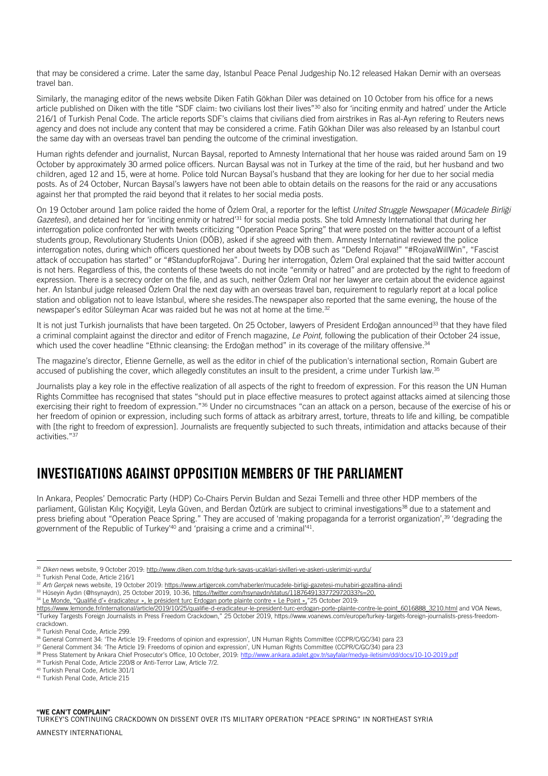that may be considered a crime. Later the same day, Istanbul Peace Penal Judgeship No.12 released Hakan Demir with an overseas travel ban.

Similarly, the managing editor of the news website Diken Fatih Gökhan Diler was detained on 10 October from his office for a news article published on Diken with the title "SDF claim: two civilians lost their lives"<sup>30</sup> also for 'inciting enmity and hatred' under the Article 216/1 of Turkish Penal Code. The article reports SDF's claims that civilians died from airstrikes in Ras al-Ayn refering to Reuters news agency and does not include any content that may be considered a crime. Fatih Gökhan Diler was also released by an Istanbul court the same day with an overseas travel ban pending the outcome of the criminal investigation.

Human rights defender and journalist, Nurcan Baysal, reported to Amnesty International that her house was raided around 5am on 19 October by approximately 30 armed police officers. Nurcan Baysal was not in Turkey at the time of the raid, but her husband and two children, aged 12 and 15, were at home. Police told Nurcan Baysal's husband that they are looking for her due to her social media posts. As of 24 October, Nurcan Baysal's lawyers have not been able to obtain details on the reasons for the raid or any accusations against her that prompted the raid beyond that it relates to her social media posts.

On 19 October around 1am police raided the home of Özlem Oral, a reporter for the leftist *United Struggle Newspaper* (*Mücadele Birliği*  Gazetesi), and detained her for 'inciting enmity or hatred<sup>'31</sup> for social media posts. She told Amnesty International that during her interrogation police confronted her with tweets criticizing "Operation Peace Spring" that were posted on the twitter account of a leftist students group, Revolutionary Students Union (DÖB), asked if she agreed with them. Amnesty Internatinal reviewed the police interrogation notes, during which officers questioned her about tweets by DÖB such as "Defend Rojava!" "#RojavaWillWin", "Fascist attack of occupation has started" or "#StandupforRojava". During her interrogation, Özlem Oral explained that the said twitter account is not hers. Regardless of this, the contents of these tweets do not incite "enmity or hatred" and are protected by the right to freedom of expression. There is a secrecy order on the file, and as such, neither Özlem Oral nor her lawyer are certain about the evidence against her. An Istanbul judge released Özlem Oral the next day with an overseas travel ban, requirement to regularly report at a local police station and obligation not to leave Istanbul, where she resides.The newspaper also reported that the same evening, the house of the newspaper's editor Süleyman Acar was raided but he was not at home at the time.<sup>32</sup>

It is not just Turkish journalists that have been targeted. On 25 October, lawyers of President Erdoğan announced<sup>33</sup> that they have filed a criminal complaint against the director and editor of French magazine, *Le Point,* following the publication of their October 24 issue, which used the cover headline "Ethnic cleansing: the Erdoğan method" in its coverage of the military offensive.<sup>34</sup>

The magazine's director, Etienne Gernelle, as well as the editor in chief of the publication's international section, Romain Gubert are accused of publishing the cover, which allegedly constitutes an insult to the president, a crime under Turkish law.<sup>35</sup>

Journalists play a key role in the effective realization of all aspects of the right to freedom of expression. For this reason the UN Human Rights Committee has recognised that states "should put in place effective measures to protect against attacks aimed at silencing those exercising their right to freedom of expression."<sup>36</sup> Under no circumstnaces "can an attack on a person, because of the exercise of his or her freedom of opinion or expression, including such forms of attack as arbitrary arrest, torture, threats to life and killing, be compatible with [the right to freedom of expression]. Journalists are frequently subjected to such threats, intimidation and attacks because of their activities."<sup>37</sup>

#### <span id="page-8-0"></span>INVESTIGATIONS AGAINST OPPOSITION MEMBERS OF THE PARLIAMENT

In Ankara, Peoples' Democratic Party (HDP) Co-Chairs Pervin Buldan and Sezai Temelli and three other HDP members of the parliament, Gülistan Kılıç Koçyiğit, Leyla Güven, and Berdan Öztürk are subject to criminal investigations<sup>38</sup> due to a statement and press briefing about "Operation Peace Spring." They are accused of 'making propaganda for a terrorist organization',<sup>39</sup> 'degrading the government of the Republic of Turkey'<sup>40</sup> and 'praising a crime and a criminal'<sup>41</sup>.

i.

<sup>34</sup> Le Monde, "Qualifié d'« éradicateur », le président turc Erdogan porte plainte contre « Le Point »,"25 October 2019:

<sup>37</sup> General Comment 34: 'The Article 19: Freedoms of opinion and expression', UN Human Rights Committee (CCPR/C/GC/34) para 23

<sup>40</sup> Turkish Penal Code, Article 301/1

<sup>30</sup> *Diken* news website, 9 October 2019[: http://www.diken.com.tr/dsg-turk-savas-ucaklari-sivilleri-ve-askeri-uslerimizi-vurdu/](http://www.diken.com.tr/dsg-turk-savas-ucaklari-sivilleri-ve-askeri-uslerimizi-vurdu/)

<sup>&</sup>lt;sup>31</sup> Turkish Penal Code, Article 216/1

<sup>32</sup> *Artı Gerçek* news website, 19 October 2019[: https://www.artigercek.com/haberler/mucadele-birligi-gazetesi-muhabiri-gozaltina-alindi](https://www.artigercek.com/haberler/mucadele-birligi-gazetesi-muhabiri-gozaltina-alindi)

<sup>33</sup> Hüseyin Aydın (@hsynaydn), 25 October 2019, 10:36, [https://twitter.com/hsynaydn/status/1187649133772972033?s=20.](https://twitter.com/hsynaydn/status/1187649133772972033?s=20)

[https://www.lemonde.fr/international/article/2019/10/25/qualifie-d-eradicateur-le-president-turc-erdogan-porte-plainte-contre-le-point\\_6016888\\_3210.html](https://www.lemonde.fr/international/article/2019/10/25/qualifie-d-eradicateur-le-president-turc-erdogan-porte-plainte-contre-le-point_6016888_3210.html) and VOA News, "Turkey Targests Foreign Journalists in Press Freedom Crackdown," 25 October 2019, https://www.voanews.com/europe/turkey-targets-foreign-journalists-press-freedomcrackdown.

<sup>&</sup>lt;sup>35</sup> Turkish Penal Code, Article 299.

<sup>36</sup> General Comment 34: 'The Article 19: Freedoms of opinion and expression', UN Human Rights Committee (CCPR/C/GC/34) para 23

<sup>38</sup> Press Statement by Ankara Chief Prosecutor's Office, 10 October, 2019: <http://www.ankara.adalet.gov.tr/sayfalar/medya-iletisim/dd/docs/10-10-2019.pdf>

<sup>&</sup>lt;sup>39</sup> Turkish Penal Code, Article 220/8 or Anti-Terror Law, Article 7/2.

<sup>41</sup> Turkish Penal Code, Article 215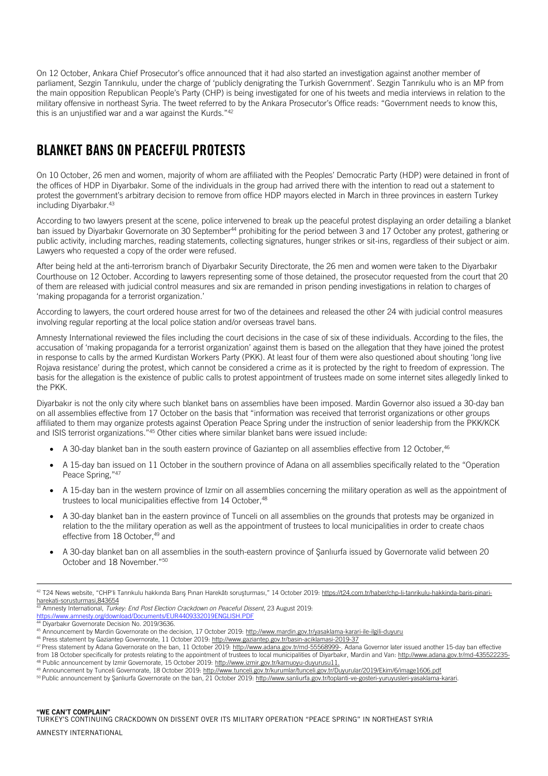On 12 October, Ankara Chief Prosecutor's office announced that it had also started an investigation against another member of parliament, Sezgin Tanrıkulu, under the charge of 'publicly denigrating the Turkish Government'. Sezgin Tanrıkulu who is an MP from the main opposition Republican People's Party (CHP) is being investigated for one of his tweets and media interviews in relation to the military offensive in northeast Syria. The tweet referred to by the Ankara Prosecutor's Office reads: "Government needs to know this, this is an unjustified war and a war against the Kurds."42

#### <span id="page-9-0"></span>BLANKET BANS ON PEACEFUL PROTESTS

On 10 October, 26 men and women, majority of whom are affiliated with the Peoples' Democratic Party (HDP) were detained in front of the offices of HDP in Diyarbakır. Some of the individuals in the group had arrived there with the intention to read out a statement to protest the government's arbitrary decision to remove from office HDP mayors elected in March in three provinces in eastern Turkey including Diyarbakır.<sup>43</sup>

According to two lawyers present at the scene, police intervened to break up the peaceful protest displaying an order detailing a blanket ban issued by Divarbakır Governorate on 30 September<sup>44</sup> prohibiting for the period between 3 and 17 October any protest, gathering or public activity, including marches, reading statements, collecting signatures, hunger strikes or sit-ins, regardless of their subject or aim. Lawyers who requested a copy of the order were refused.

After being held at the anti-terrorism branch of Diyarbakır Security Directorate, the 26 men and women were taken to the Diyarbakır Courthouse on 12 October. According to lawyers representing some of those detained, the prosecutor requested from the court that 20 of them are released with judicial control measures and six are remanded in prison pending investigations in relation to charges of 'making propaganda for a terrorist organization.'

According to lawyers, the court ordered house arrest for two of the detainees and released the other 24 with judicial control measures involving regular reporting at the local police station and/or overseas travel bans.

Amnesty International reviewed the files including the court decisions in the case of six of these individuals. According to the files, the accusation of 'making propaganda for a terrorist organization' against them is based on the allegation that they have joined the protest in response to calls by the armed Kurdistan Workers Party (PKK). At least four of them were also questioned about shouting 'long live Rojava resistance' during the protest, which cannot be considered a crime as it is protected by the right to freedom of expression. The basis for the allegation is the existence of public calls to protest appointment of trustees made on some internet sites allegedly linked to the PKK.

Diyarbakır is not the only city where such blanket bans on assemblies have been imposed. Mardin Governor also issued a 30-day ban on all assemblies effective from 17 October on the basis that "information was received that terrorist organizations or other groups affiliated to them may organize protests against Operation Peace Spring under the instruction of senior leadership from the PKK/KCK and ISIS terrorist organizations."<sup>45</sup> Other cities where similar blanket bans were issued include:

- A 30-day blanket ban in the south eastern province of Gaziantep on all assemblies effective from 12 October,<sup>46</sup>
- A 15-day ban issued on 11 October in the southern province of Adana on all assemblies specifically related to the "Operation Peace Spring,"<sup>47</sup>
- A 15-day ban in the western province of Izmir on all assemblies concerning the military operation as well as the appointment of trustees to local municipalities effective from 14 October.<sup>48</sup>
- A 30-day blanket ban in the eastern province of Tunceli on all assemblies on the grounds that protests may be organized in relation to the the military operation as well as the appointment of trustees to local municipalities in order to create chaos effective from 18 October, <sup>49</sup> and
- A 30-day blanket ban on all assemblies in the south-eastern province of Şanlıurfa issued by Governorate valid between 20 October and 18 November."<sup>50</sup>

<sup>42</sup> T24 News website, "CHP'li Tanrıkulu hakkında Barış Pınarı Harekâtı soruşturması," 14 October 2019: [https://t24.com.tr/haber/chp-li-tanrikulu-hakkinda-baris-pinari](https://t24.com.tr/haber/chp-li-tanrikulu-hakkinda-baris-pinari-harekati-sorusturmasi,843654)[harekati-sorusturmasi,843654](https://t24.com.tr/haber/chp-li-tanrikulu-hakkinda-baris-pinari-harekati-sorusturmasi,843654)

<sup>43</sup> Amnesty International, *Turkey: End Post Election Crackdown on Peaceful Dissent*, 23 August 2019: <https://www.amnesty.org/download/Documents/EUR4409332019ENGLISH.PDF>

<sup>44</sup> Divarbakır Governorate Decision No. 2019/3636.

<sup>45</sup> Announcement by Mardin Governorate on the decision, 17 October 2019[: http://www.mardin.gov.tr/yasaklama-karari-ile-ilgili-duyuru](http://www.mardin.gov.tr/yasaklama-karari-ile-ilgili-duyuru)

<sup>46</sup> Press statement by Gaziantep Governorate, 11 October 2019[: http://www.gaziantep.gov.tr/basin-aciklamasi-2019-37](http://www.gaziantep.gov.tr/basin-aciklamasi-2019-37)

<sup>47</sup> Press statement by Adana Governorate on the ban, 11 October 2019[: http://www.adana.gov.tr/md-55568999-.](http://www.adana.gov.tr/md-55568999-) Adana Governor later issued another 15-day ban effective from 18 October specifically for protests relating to the appointment of trustees to local municipalities of Diyarbakır, Mardin and Van: <http://www.adana.gov.tr/md-435522235-> <sup>48</sup> Public announcement by Izmir Governorate, 15 October 2019[: http://www.izmir.gov.tr/kamuoyu-duyurusu11.](http://www.izmir.gov.tr/kamuoyu-duyurusu11)

<sup>49</sup> Announcement by Tunceli Governorate, 18 October 2019[: http://www.tunceli.gov.tr/kurumlar/tunceli.gov.tr/Duyurular/2019/Ekim/6/image1606.pdf](http://www.tunceli.gov.tr/kurumlar/tunceli.gov.tr/Duyurular/2019/Ekim/6/image1606.pdf)

<sup>&</sup>lt;sup>50</sup> Public announcement by Şanlıurfa Governorate on the ban, 21 October 2019: http://www.sanliurfa.gov.tr/toplanti-ve-gosteri-yuruyusleri-yasaklama-karari.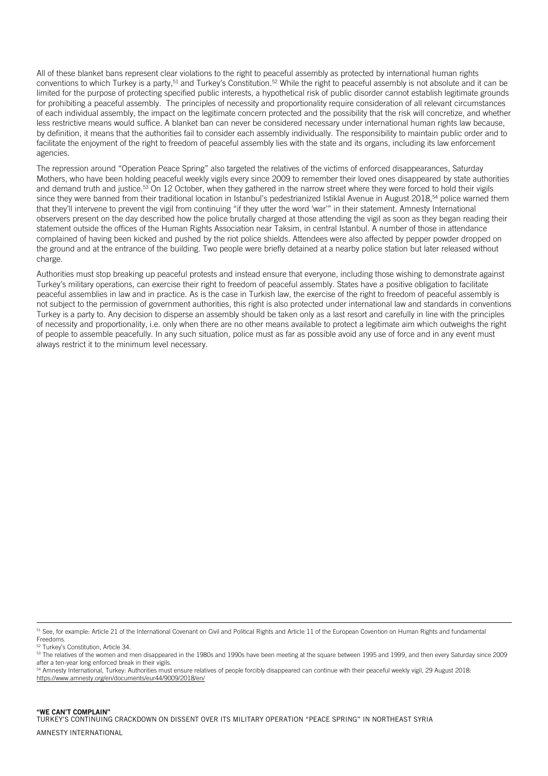All of these blanket bans represent clear violations to the right to peaceful assembly as protected by international human rights conventions to which Turkey is a party,<sup>51</sup> and Turkey's Constitution.<sup>52</sup> While the right to peaceful assembly is not absolute and it can be limited for the purpose of protecting specified public interests, a hypothetical risk of public disorder cannot establish legitimate grounds for prohibiting a peaceful assembly. The principles of necessity and proportionality require consideration of all relevant circumstances of each individual assembly, the impact on the legitimate concern protected and the possibility that the risk will concretize, and whether less restrictive means would suffice. A blanket ban can never be considered necessary under international human rights law because, by definition, it means that the authorities fail to consider each assembly individually. The responsibility to maintain public order and to facilitate the enjoyment of the right to freedom of peaceful assembly lies with the state and its organs, including its law enforcement agencies.

The repression around "Operation Peace Spring" also targeted the relatives of the victims of enforced disappearances, Saturday Mothers, who have been holding peaceful weekly vigils every since 2009 to remember their loved ones disappeared by state authorities and demand truth and justice.<sup>53</sup> On 12 October, when they gathered in the narrow street where they were forced to hold their vigils since they were banned from their traditional location in Istanbul's pedestrianized Istiklal Avenue in August 2018,<sup>54</sup> police warned them that they'll intervene to prevent the vigil from continuing "if they utter the word 'war'" in their statement. Amnesty International observers present on the day described how the police brutally charged at those attending the vigil as soon as they began reading their statement outside the offices of the Human Rights Association near Taksim, in central Istanbul. A number of those in attendance complained of having been kicked and pushed by the riot police shields. Attendees were also affected by pepper powder dropped on the ground and at the entrance of the building. Two people were briefly detained at a nearby police station but later released without charge.

Authorities must stop breaking up peaceful protests and instead ensure that everyone, including those wishing to demonstrate against Turkey's military operations, can exercise their right to freedom of peaceful assembly. States have a positive obligation to facilitate peaceful assemblies in law and in practice. As is the case in Turkish law, the exercise of the right to freedom of peaceful assembly is not subject to the permission of government authorities, this right is also protected under international law and standards in conventions Turkey is a party to. Any decision to disperse an assembly should be taken only as a last resort and carefully in line with the principles of necessity and proportionality, i.e. only when there are no other means available to protect a legitimate aim which outweighs the right of people to assemble peacefully. In any such situation, police must as far as possible avoid any use of force and in any event must always restrict it to the minimum level necessary.

<sup>&</sup>lt;sup>51</sup> See, for example: Article 21 of the International Covenant on Civil and Political Rights and Article 11 of the European Covention on Human Rights and fundamental Freedoms.

Turkey's Constitution, Article 34.

<sup>&</sup>lt;sup>53</sup> The relatives of the women and men disappeared in the 1980s and 1990s have been meeting at the square between 1995 and 1999, and then every Saturday since 2009 after a ten-year long enforced break in their vigils.

<sup>54</sup> Amnesty International, Turkey: Authorities must ensure relatives of people forcibly disappeared can continue with their peaceful weekly vigil, 29 August 2018: <https://www.amnesty.org/en/documents/eur44/9009/2018/en/>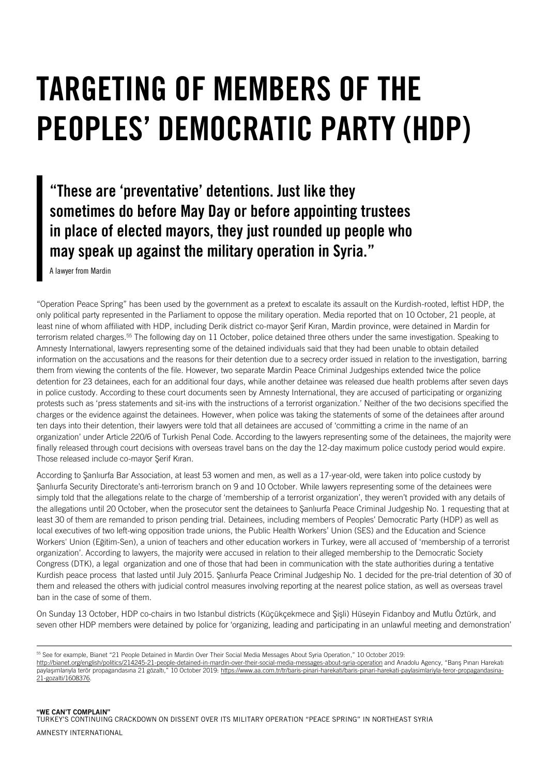### <span id="page-11-0"></span>TARGETING OF MEMBERS OF THE PEOPLES' DEMOCRATIC PARTY (HDP)

#### "These are 'preventative' detentions. Just like they sometimes do before May Day or before appointing trustees in place of elected mayors, they just rounded up people who may speak up against the military operation in Syria."

A lawyer from Mardin

ł

"Operation Peace Spring" has been used by the government as a pretext to escalate its assault on the Kurdish-rooted, leftist HDP, the only political party represented in the Parliament to oppose the military operation. Media reported that on 10 October, 21 people, at least nine of whom affiliated with HDP, including Derik district co-mayor Şerif Kıran, Mardin province, were detained in Mardin for terrorism related charges.<sup>55</sup> The following day on 11 October, police detained three others under the same investigation. Speaking to Amnesty International, lawyers representing some of the detained individuals said that they had been unable to obtain detailed information on the accusations and the reasons for their detention due to a secrecy order issued in relation to the investigation, barring them from viewing the contents of the file. However, two separate Mardin Peace Criminal Judgeships extended twice the police detention for 23 detainees, each for an additional four days, while another detainee was released due health problems after seven days in police custody. According to these court documents seen by Amnesty International, they are accused of participating or organizing protests such as 'press statements and sit-ins with the instructions of a terrorist organization.' Neither of the two decisions specified the charges or the evidence against the detainees. However, when police was taking the statements of some of the detainees after around ten days into their detention, their lawyers were told that all detainees are accused of 'committing a crime in the name of an organization' under Article 220/6 of Turkish Penal Code. According to the lawyers representing some of the detainees, the majority were finally released through court decisions with overseas travel bans on the day the 12-day maximum police custody period would expire. Those released include co-mayor Şerif Kıran.

According to Şanlıurfa Bar Association, at least 53 women and men, as well as a 17-year-old, were taken into police custody by Sanliurfa Security Directorate's anti-terrorism branch on 9 and 10 October. While lawyers representing some of the detainees were simply told that the allegations relate to the charge of 'membership of a terrorist organization', they weren't provided with any details of the allegations until 20 October, when the prosecutor sent the detainees to Şanlıurfa Peace Criminal Judgeship No. 1 requesting that at least 30 of them are remanded to prison pending trial. Detainees, including members of Peoples' Democratic Party (HDP) as well as local executives of two left-wing opposition trade unions, the Public Health Workers' Union (SES) and the Education and Science Workers' Union (Eğitim-Sen), a union of teachers and other education workers in Turkey, were all accused of 'membership of a terrorist organization'. According to lawyers, the majority were accused in relation to their alleged membership to the Democratic Society Congress (DTK), a legal organization and one of those that had been in communication with the state authorities during a tentative Kurdish peace process that lasted until July 2015. Şanlıurfa Peace Criminal Judgeship No. 1 decided for the pre-trial detention of 30 of them and released the others with judicial control measures involving reporting at the nearest police station, as well as overseas travel ban in the case of some of them.

On Sunday 13 October, HDP co-chairs in two Istanbul districts (Küçükçekmece and Şişli) Hüseyin Fidanboy and Mutlu Öztürk, and seven other HDP members were detained by police for 'organizing, leading and participating in an unlawful meeting and demonstration'

<sup>55</sup> See for example, Bianet "21 People Detained in Mardin Over Their Social Media Messages About Syria Operation," 10 October 2019: <http://bianet.org/english/politics/214245-21-people-detained-in-mardin-over-their-social-media-messages-about-syria-operation> and Anadolu Agency, "Barış Pınarı Harekatı paylaşımlarıyla terör propagandasına 21 gözaltı," 10 October 2019: [https://www.aa.com.tr/tr/baris-pinari-harekati/baris-pinari-harekati-paylasimlariyla-teror-propagandasina-](https://www.aa.com.tr/tr/baris-pinari-harekati/baris-pinari-harekati-paylasimlariyla-teror-propagandasina-21-gozalti/1608376)[21-gozalti/1608376.](https://www.aa.com.tr/tr/baris-pinari-harekati/baris-pinari-harekati-paylasimlariyla-teror-propagandasina-21-gozalti/1608376)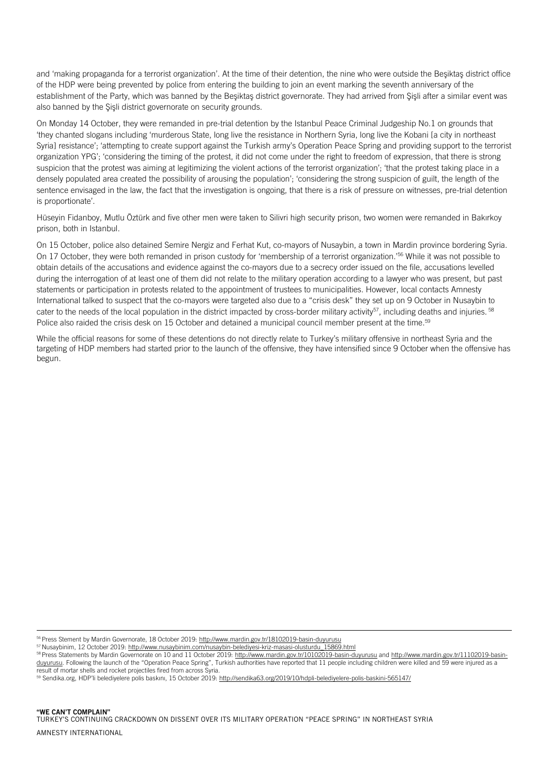and 'making propaganda for a terrorist organization'. At the time of their detention, the nine who were outside the Beşiktaş district office of the HDP were being prevented by police from entering the building to join an event marking the seventh anniversary of the establishment of the Party, which was banned by the Beşiktaş district governorate. They had arrived from Şişli after a similar event was also banned by the Şişli district governorate on security grounds.

On Monday 14 October, they were remanded in pre-trial detention by the Istanbul Peace Criminal Judgeship No.1 on grounds that 'they chanted slogans including 'murderous State, long live the resistance in Northern Syria, long live the Kobani [a city in northeast Syria] resistance'; 'attempting to create support against the Turkish army's Operation Peace Spring and providing support to the terrorist organization YPG'; 'considering the timing of the protest, it did not come under the right to freedom of expression, that there is strong suspicion that the protest was aiming at legitimizing the violent actions of the terrorist organization'; 'that the protest taking place in a densely populated area created the possibility of arousing the population'; 'considering the strong suspicion of guilt, the length of the sentence envisaged in the law, the fact that the investigation is ongoing, that there is a risk of pressure on witnesses, pre-trial detention is proportionate'.

Hüseyin Fidanboy, Mutlu Öztürk and five other men were taken to Silivri high security prison, two women were remanded in Bakırkoy prison, both in Istanbul.

On 15 October, police also detained Semire Nergiz and Ferhat Kut, co-mayors of Nusaybin, a town in Mardin province bordering Syria. On 17 October, they were both remanded in prison custody for 'membership of a terrorist organization.'<sup>56</sup> While it was not possible to obtain details of the accusations and evidence against the co-mayors due to a secrecy order issued on the file, accusations levelled during the interrogation of at least one of them did not relate to the military operation according to a lawyer who was present, but past statements or participation in protests related to the appointment of trustees to municipalities. However, local contacts Amnesty International talked to suspect that the co-mayors were targeted also due to a "crisis desk" they set up on 9 October in Nusaybin to cater to the needs of the local population in the district impacted by cross-border military activity<sup>57</sup>, including deaths and injuries. <sup>58</sup> Police also raided the crisis desk on 15 October and detained a municipal council member present at the time.<sup>59</sup>

While the official reasons for some of these detentions do not directly relate to Turkey's military offensive in northeast Syria and the targeting of HDP members had started prior to the launch of the offensive, they have intensified since 9 October when the offensive has begun.

56 Press Stement by Mardin Governorate, 18 October 2019[: http://www.mardin.gov.tr/18102019-basin-duyurusu](http://www.mardin.gov.tr/18102019-basin-duyurusu)

<sup>57</sup> Nusaybinim, 12 October 2019: [http://www.nusaybinim.com/nusaybin-belediyesi-kriz-masasi-olusturdu\\_15869.html](http://www.nusaybinim.com/nusaybin-belediyesi-kriz-masasi-olusturdu_15869.html)

<sup>58</sup> Press Statements by Mardin Governorate on 10 and 11 October 2019:<http://www.mardin.gov.tr/10102019-basin-duyurusu> an[d http://www.mardin.gov.tr/11102019-basin](http://www.mardin.gov.tr/11102019-basin-duyurusu)[duyurusu.](http://www.mardin.gov.tr/11102019-basin-duyurusu) Following the launch of the "Operation Peace Spring", Turkish authorities have reported that 11 people including children were killed and 59 were injured as a result of mortar shells and rocket projectiles fired from across Syria.

<sup>59</sup> Sendika.org, HDP'li belediyelere polis baskını, 15 October 2019: <http://sendika63.org/2019/10/hdpli-belediyelere-polis-baskini-565147/>

ł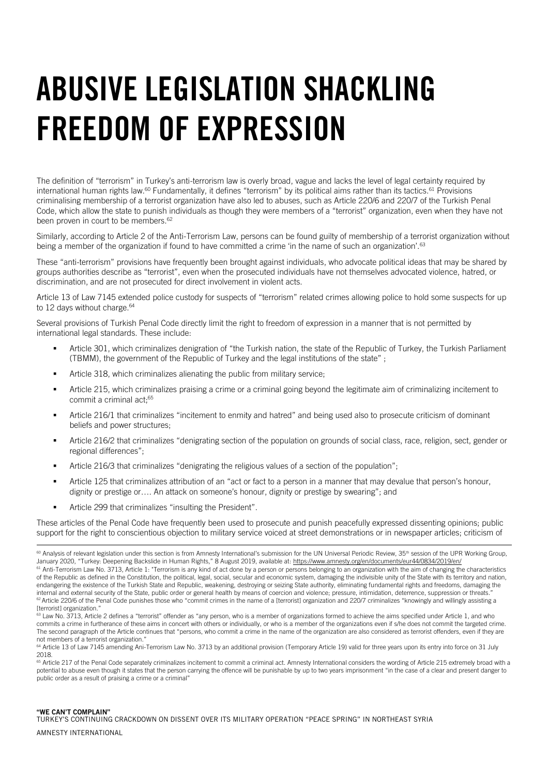### <span id="page-13-0"></span>ABUSIVE LEGISLATION SHACKLING FREEDOM OF EXPRESSION

The definition of "terrorism" in Turkey's anti-terrorism law is overly broad, vague and lacks the level of legal certainty required by international human rights law.<sup>60</sup> Fundamentally, it defines "terrorism" by its political aims rather than its tactics.<sup>61</sup> Provisions criminalising membership of a terrorist organization have also led to abuses, such as Article 220/6 and 220/7 of the Turkish Penal Code, which allow the state to punish individuals as though they were members of a "terrorist" organization, even when they have not been proven in court to be members.<sup>62</sup>

Similarly, according to Article 2 of the Anti-Terrorism Law, persons can be found guilty of membership of a terrorist organization without being a member of the organization if found to have committed a crime 'in the name of such an organization'.<sup>63</sup>

These "anti-terrorism" provisions have frequently been brought against individuals, who advocate political ideas that may be shared by groups authorities describe as "terrorist", even when the prosecuted individuals have not themselves advocated violence, hatred, or discrimination, and are not prosecuted for direct involvement in violent acts.

Article 13 of Law 7145 extended police custody for suspects of "terrorism" related crimes allowing police to hold some suspects for up to 12 days without charge.<sup>64</sup>

Several provisions of Turkish Penal Code directly limit the right to freedom of expression in a manner that is not permitted by international legal standards. These include:

- Article 301, which criminalizes denigration of "the Turkish nation, the state of the Republic of Turkey, the Turkish Parliament (TBMM), the government of the Republic of Turkey and the legal institutions of the state" ;
- Article 318, which criminalizes alienating the public from military service;
- Article 215, which criminalizes praising a crime or a criminal going beyond the legitimate aim of criminalizing incitement to commit a criminal act;<sup>65</sup>
- Article 216/1 that criminalizes "incitement to enmity and hatred" and being used also to prosecute criticism of dominant beliefs and power structures;
- Article 216/2 that criminalizes "denigrating section of the population on grounds of social class, race, religion, sect, gender or regional differences";
- Article 216/3 that criminalizes "denigrating the religious values of a section of the population";
- Article 125 that criminalizes attribution of an "act or fact to a person in a manner that may devalue that person's honour, dignity or prestige or…. An attack on someone's honour, dignity or prestige by swearing"; and
- Article 299 that criminalizes "insulting the President".

These articles of the Penal Code have frequently been used to prosecute and punish peacefully expressed dissenting opinions; public support for the right to conscientious objection to military service voiced at street demonstrations or in newspaper articles; criticism of

#### "WE CAN'T COMPLAIN"

i.

TURKEY'S CONTINUING CRACKDOWN ON DISSENT OVER ITS MILITARY OPERATION "PEACE SPRING" IN NORTHEAST SYRIA

<sup>&</sup>lt;sup>60</sup> Analysis of relevant legislation under this section is from Amnesty International's submission for the UN Universal Periodic Review, 35<sup>th</sup> session of the UPR Working Group, January 2020, "Turkey: Deepening Backslide in Human Rights," 8 August 2019, available at: <https://www.amnesty.org/en/documents/eur44/0834/2019/en/>  $61$  Anti-Terrorism Law No. 3713, Article 1: "Terrorism is any kind of act done by a person or persons belonging to an organization with the aim of changing the characteristics of the Republic as defined in the Constitution, the political, legal, social, secular and economic system, damaging the indivisible unity of the State with its territory and nation, endangering the existence of the Turkish State and Republic, weakening, destroying or seizing State authority, eliminating fundamental rights and freedoms, damaging the internal and external security of the State, public order or general health by means of coercion and violence; pressure, intimidation, deterrence, suppression or threats. <sup>62</sup> Article 220/6 of the Penal Code punishes those who "commit crimes in the name of a [terrorist] organization and 220/7 criminalizes "knowingly and willingly assisting a [terrorist] organization.'

 $63$  Law No. 3713, Article 2 defines a "terrorist" offender as "any person, who is a member of organizations formed to achieve the aims specified under Article 1, and who commits a crime in furtherance of these aims in concert with others or individually, or who is a member of the organizations even if s/he does not commit the targeted crime. The second paragraph of the Article continues that "persons, who commit a crime in the name of the organization are also considered as terrorist offenders, even if they are not members of a terrorist organization."

<sup>&</sup>lt;sup>64</sup> Article 13 of Law 7145 amending Ani-Terrorism Law No. 3713 by an additional provision (Temporary Article 19) valid for three years upon its entry into force on 31 July 2018.

<sup>&</sup>lt;sup>65</sup> Article 217 of the Penal Code separately criminalizes incitement to commit a criminal act. Amnesty International considers the wording of Article 215 extremely broad with a potential to abuse even though it states that the person carrying the offence will be punishable by up to two years imprisonment "in the case of a clear and present danger to public order as a result of praising a crime or a criminal"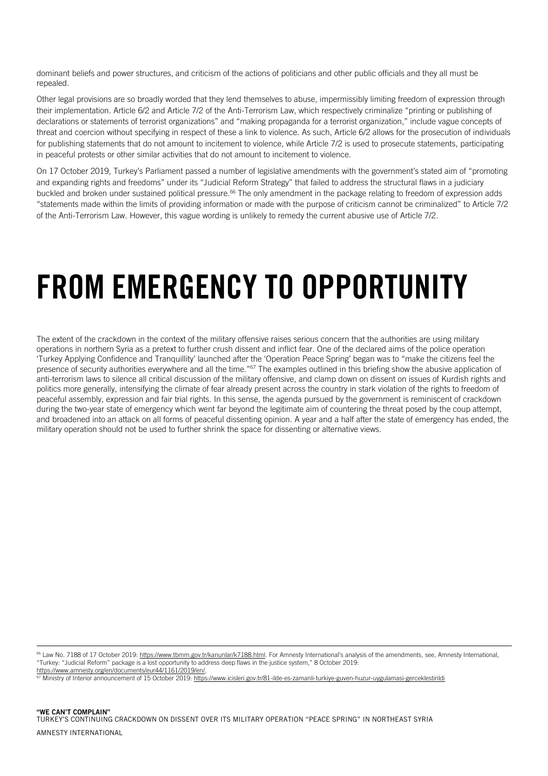dominant beliefs and power structures, and criticism of the actions of politicians and other public officials and they all must be repealed.

Other legal provisions are so broadly worded that they lend themselves to abuse, impermissibly limiting freedom of expression through their implementation. Article 6/2 and Article 7/2 of the Anti-Terrorism Law, which respectively criminalize "printing or publishing of declarations or statements of terrorist organizations" and "making propaganda for a terrorist organization," include vague concepts of threat and coercion without specifying in respect of these a link to violence. As such, Article 6/2 allows for the prosecution of individuals for publishing statements that do not amount to incitement to violence, while Article 7/2 is used to prosecute statements, participating in peaceful protests or other similar activities that do not amount to incitement to violence.

On 17 October 2019, Turkey's Parliament passed a number of legislative amendments with the government's stated aim of "promoting and expanding rights and freedoms" under its "Judicial Reform Strategy" that failed to address the structural flaws in a judiciary buckled and broken under sustained political pressure.<sup>66</sup> The only amendment in the package relating to freedom of expression adds "statements made within the limits of providing information or made with the purpose of criticism cannot be criminalized" to Article 7/2 of the Anti-Terrorism Law. However, this vague wording is unlikely to remedy the current abusive use of Article 7/2.

### <span id="page-14-0"></span>FROM EMERGENCY TO OPPORTUNITY

The extent of the crackdown in the context of the military offensive raises serious concern that the authorities are using military operations in northern Syria as a pretext to further crush dissent and inflict fear. One of the declared aims of the police operation 'Turkey Applying Confidence and Tranquillity' launched after the 'Operation Peace Spring' began was to "make the citizens feel the presence of security authorities everywhere and all the time."<sup>67</sup> The examples outlined in this briefing show the abusive application of anti-terrorism laws to silence all critical discussion of the military offensive, and clamp down on dissent on issues of Kurdish rights and politics more generally, intensifying the climate of fear already present across the country in stark violation of the rights to freedom of peaceful assembly, expression and fair trial rights. In this sense, the agenda pursued by the government is reminiscent of crackdown during the two-year state of emergency which went far beyond the legitimate aim of countering the threat posed by the coup attempt, and broadened into an attack on all forms of peaceful dissenting opinion. A year and a half after the state of emergency has ended, the military operation should not be used to further shrink the space for dissenting or alternative views.

<sup>66</sup> Law No. 7188 of 17 October 2019[: https://www.tbmm.gov.tr/kanunlar/k7188.html](https://www.tbmm.gov.tr/kanunlar/k7188.html). For Amnesty International's analysis of the amendments, see, Amnesty International, "Turkey: "Judicial Reform" package is a lost opportunity to address deep flaws in the justice system," 8 October 2019: [https://www.amnesty.org/en/documents/eur44/1161/2019/en/.](https://www.amnesty.org/en/documents/eur44/1161/2019/en/)

<sup>67</sup> Ministry of Interior announcement of 15 October 2019[: https://www.icisleri.gov.tr/81-ilde-es-zamanli-turkiye-guven-huzur-uygulamasi-gerceklestirildi](https://www.icisleri.gov.tr/81-ilde-es-zamanli-turkiye-guven-huzur-uygulamasi-gerceklestirildi)

ł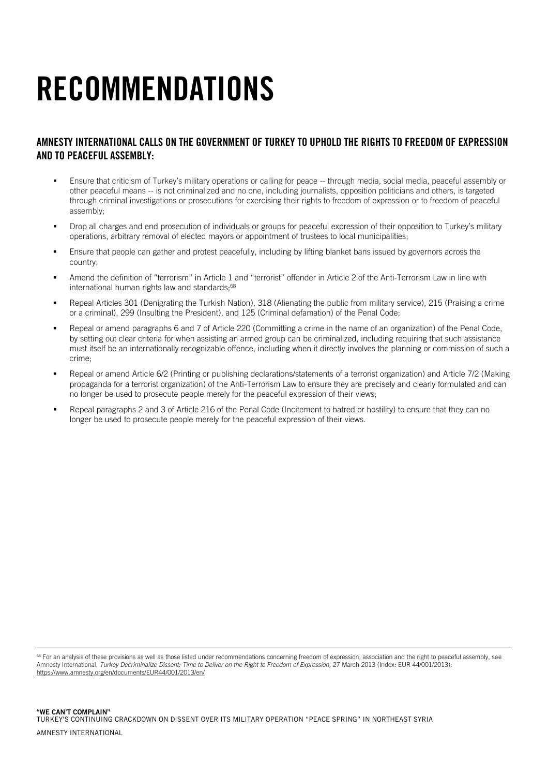## <span id="page-15-0"></span>RECOMMENDATIONS

#### AMNESTY INTERNATIONAL CALLS ON THE GOVERNMENT OF TURKEY TO UPHOLD THE RIGHTS TO FREEDOM OF EXPRESSION AND TO PEACEFUL ASSEMBLY:

- Ensure that criticism of Turkey's military operations or calling for peace -- through media, social media, peaceful assembly or other peaceful means -- is not criminalized and no one, including journalists, opposition politicians and others, is targeted through criminal investigations or prosecutions for exercising their rights to freedom of expression or to freedom of peaceful assembly;
- Drop all charges and end prosecution of individuals or groups for peaceful expression of their opposition to Turkey's military operations, arbitrary removal of elected mayors or appointment of trustees to local municipalities;
- **Ensure that people can gather and protest peacefully, including by lifting blanket bans issued by governors across the** country;
- Amend the definition of "terrorism" in Article 1 and "terrorist" offender in Article 2 of the Anti-Terrorism Law in line with international human rights law and standards:<sup>68</sup>
- Repeal Articles 301 (Denigrating the Turkish Nation), 318 (Alienating the public from military service), 215 (Praising a crime or a criminal), 299 (Insulting the President), and 125 (Criminal defamation) of the Penal Code;
- Repeal or amend paragraphs 6 and 7 of Article 220 (Committing a crime in the name of an organization) of the Penal Code, by setting out clear criteria for when assisting an armed group can be criminalized, including requiring that such assistance must itself be an internationally recognizable offence, including when it directly involves the planning or commission of such a crime;
- Repeal or amend Article 6/2 (Printing or publishing declarations/statements of a terrorist organization) and Article 7/2 (Making propaganda for a terrorist organization) of the Anti-Terrorism Law to ensure they are precisely and clearly formulated and can no longer be used to prosecute people merely for the peaceful expression of their views;
- Repeal paragraphs 2 and 3 of Article 216 of the Penal Code (Incitement to hatred or hostility) to ensure that they can no longer be used to prosecute people merely for the peaceful expression of their views.

<sup>68</sup> For an analysis of these provisions as well as those listed under recommendations concerning freedom of expression, association and the right to peaceful assembly, see Amnesty International, *Turkey Decriminalize Dissent: Time to Deliver on the Right to Freedom of Expression,* 27 March 2013 (Index: EUR 44/001/2013): <https://www.amnesty.org/en/documents/EUR44/001/2013/en/>

i,